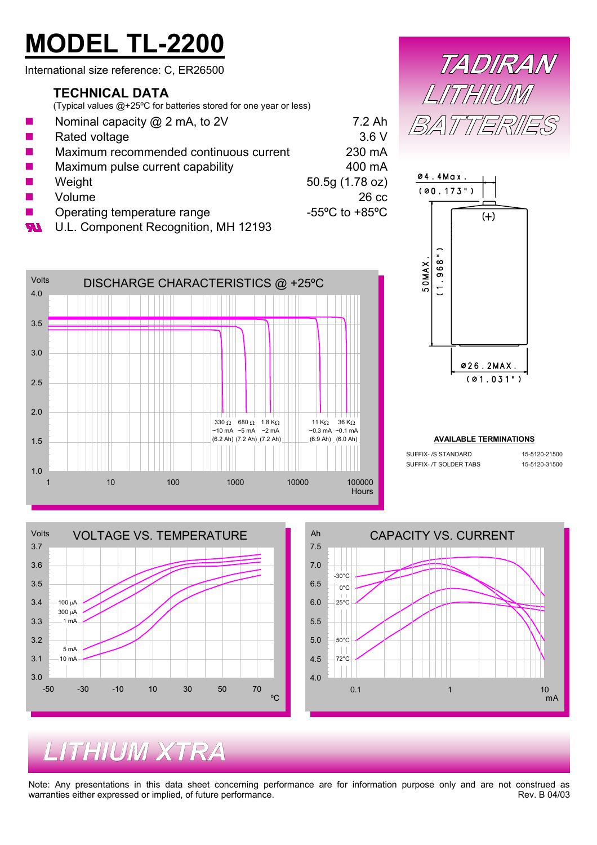# **MODEL TL-2200**

International size reference: C, ER26500

#### **TECHNICAL DATA**

1.0

1.5

2.0

2.5

3.0

3.5

4.0

Volts

(Typical values @+25ºC for batteries stored for one year or less)

- П П Nominal capacity @ 2 mA, to 2V 7.2 Ah Rated voltage 3.6 V Maximum recommended continuous current 230 mA Maximum pulse current capability and the 400 mA Weight 50.5g (1.78 oz) Volume 26 cc Operating temperature range  $-55^{\circ}$ C to +85°C
- **M**



1 10 100 1000 1000 10000 100000 100000





#### **AVAILABLE TERMINATIONS**

| SUFFIX- /S STANDARD    | 15-5120-21500 |
|------------------------|---------------|
| SUFFIX- /T SOLDER TABS | 15-5120-31500 |





**Hours** 

## *LITHIUM XTRA*

Note: Any presentations in this data sheet concerning performance are for information purpose only and are not construed as warranties either expressed or implied, of future performance. The revenue of the contract of the Rev. B 04/03